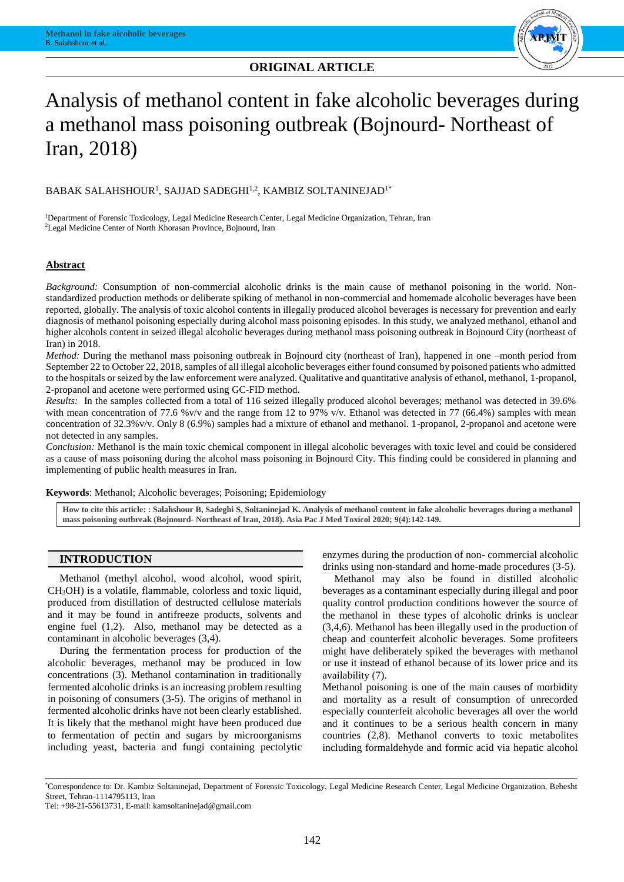

# Analysis of methanol content in fake alcoholic beverages during a methanol mass poisoning outbreak (Bojnourd- Northeast of Iran, 2018)

# $\mathsf{BABAK}$  SALAHSHOUR $^{\rm l}$ , SAJJAD SADEGHI $^{\rm l,2}$ , KAMBIZ SOLTANINEJAD $^{\rm l^{\ast}}$

<sup>1</sup>Department of Forensic Toxicology, Legal Medicine Research Center, Legal Medicine Organization, Tehran, Iran <sup>2</sup>Legal Medicine Center of North Khorasan Province, Bojnourd, Iran

## **Abstract**

*Background:* Consumption of non-commercial alcoholic drinks is the main cause of methanol poisoning in the world. Nonstandardized production methods or deliberate spiking of methanol in non-commercial and homemade alcoholic beverages have been reported, globally. The analysis of toxic alcohol contents in illegally produced alcohol beverages is necessary for prevention and early diagnosis of methanol poisoning especially during alcohol mass poisoning episodes. In this study, we analyzed methanol, ethanol and higher alcohols content in seized illegal alcoholic beverages during methanol mass poisoning outbreak in Bojnourd City (northeast of Iran) in 2018.

*Method:* During the methanol mass poisoning outbreak in Bojnourd city (northeast of Iran), happened in one –month period from September 22 to October 22, 2018, samples of all illegal alcoholic beverages either found consumed by poisoned patients who admitted to the hospitals or seized by the law enforcement were analyzed. Qualitative and quantitative analysis of ethanol, methanol, 1-propanol, 2-propanol and acetone were performed using GC-FID method.

*Results:* In the samples collected from a total of 116 seized illegally produced alcohol beverages; methanol was detected in 39.6% with mean concentration of 77.6 %v/v and the range from 12 to 97% v/v. Ethanol was detected in 77 (66.4%) samples with mean concentration of 32.3%v/v. Only 8 (6.9%) samples had a mixture of ethanol and methanol. 1-propanol, 2-propanol and acetone were not detected in any samples.

*Conclusion:* Methanol is the main toxic chemical component in illegal alcoholic beverages with toxic level and could be considered as a cause of mass poisoning during the alcohol mass poisoning in Bojnourd City. This finding could be considered in planning and implementing of public health measures in Iran.

**Keywords**: Methanol; Alcoholic beverages; Poisoning; Epidemiology

**How to cite this article: : Salahshour B, Sadeghi S, Soltaninejad K. Analysis of methanol content in fake alcoholic beverages during a methanol mass poisoning outbreak (Bojnourd- Northeast of Iran, 2018). Asia Pac J Med Toxicol 2020; 9(4):142-149.**

#### **INTRODUCTION**

Methanol (methyl alcohol, wood alcohol, wood spirit, CH3OH) is a volatile, flammable, colorless and toxic liquid, produced from distillation of destructed cellulose materials and it may be found in antifreeze products, solvents and engine fuel (1,2). Also, methanol may be detected as a contaminant in alcoholic beverages (3,4).

During the fermentation process for production of the alcoholic beverages, methanol may be produced in low concentrations (3). Methanol contamination in traditionally fermented alcoholic drinks is an increasing problem resulting in poisoning of consumers (3-5). The origins of methanol in fermented alcoholic drinks have not been clearly established. It is likely that the methanol might have been produced due to fermentation of pectin and sugars by microorganisms including yeast, bacteria and fungi containing pectolytic

enzymes during the production of non- commercial alcoholic drinks using non-standard and home-made procedures (3-5).

Methanol may also be found in distilled alcoholic beverages as a contaminant especially during illegal and poor quality control production conditions however the source of the methanol in these types of alcoholic drinks is unclear (3,4,6). Methanol has been illegally used in the production of cheap and counterfeit alcoholic beverages. Some profiteers might have deliberately spiked the beverages with methanol or use it instead of ethanol because of its lower price and its availability (7).

Methanol poisoning is one of the main causes of morbidity and mortality as a result of consumption of unrecorded especially counterfeit alcoholic beverages all over the world and it continues to be a serious health concern in many countries (2,8). Methanol converts to toxic metabolites including formaldehyde and formic acid via hepatic alcohol

<sup>\*</sup>Correspondence to: Dr. Kambiz Soltaninejad, Department of Forensic Toxicology, Legal Medicine Research Center, Legal Medicine Organization, Behesht Street, Tehran-1114795113, Iran

Tel: +98-21-55613731, E-mail: kamsoltaninejad@gmail.com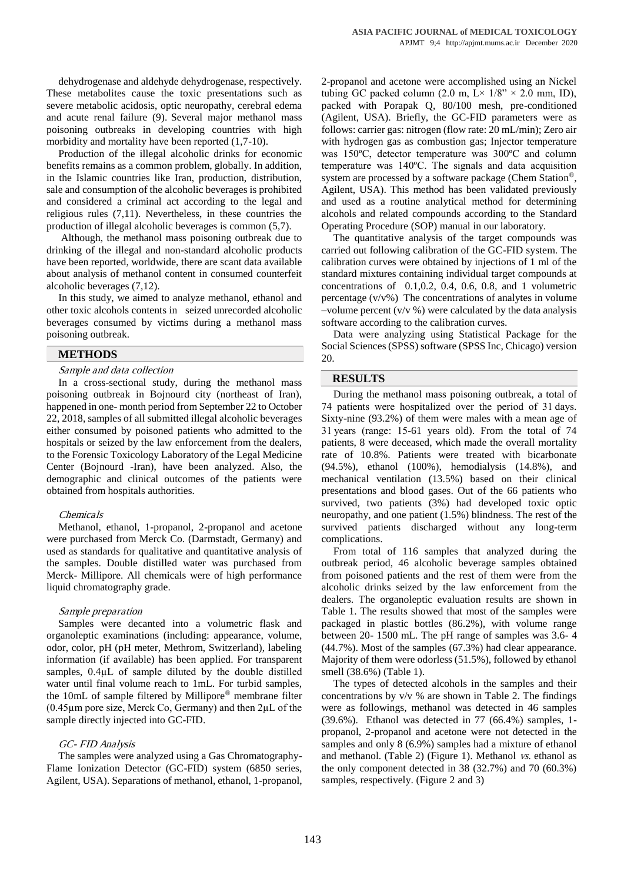dehydrogenase and aldehyde dehydrogenase, respectively. These metabolites cause the toxic presentations such as severe metabolic acidosis, optic neuropathy, cerebral edema and acute renal failure (9). Several major methanol mass poisoning outbreaks in developing countries with high morbidity and mortality have been reported (1,7-10).

Production of the illegal alcoholic drinks for economic benefits remains as a common problem, globally. In addition, in the Islamic countries like Iran, production, distribution, sale and consumption of the alcoholic beverages is prohibited and considered a criminal act according to the legal and religious rules (7,11). Nevertheless, in these countries the production of illegal alcoholic beverages is common (5,7).

Although, the methanol mass poisoning outbreak due to drinking of the illegal and non-standard alcoholic products have been reported, worldwide, there are scant data available about analysis of methanol content in consumed counterfeit alcoholic beverages (7,12).

In this study, we aimed to analyze methanol, ethanol and other toxic alcohols contents in seized unrecorded alcoholic beverages consumed by victims during a methanol mass poisoning outbreak.

#### **METHODS**

#### Sample and data collection

In a cross-sectional study, during the methanol mass poisoning outbreak in Bojnourd city (northeast of Iran), happened in one- month period from September 22 to October 22, 2018, samples of all submitted illegal alcoholic beverages either consumed by poisoned patients who admitted to the hospitals or seized by the law enforcement from the dealers, to the Forensic Toxicology Laboratory of the Legal Medicine Center (Bojnourd -Iran), have been analyzed. Also, the demographic and clinical outcomes of the patients were obtained from hospitals authorities.

#### Chemicals

Methanol, ethanol, 1-propanol, 2-propanol and acetone were purchased from Merck Co. (Darmstadt, Germany) and used as standards for qualitative and quantitative analysis of the samples. Double distilled water was purchased from Merck- Millipore. All chemicals were of high performance liquid chromatography grade.

#### Sample preparation

Samples were decanted into a volumetric flask and organoleptic examinations (including: appearance, volume, odor, color, pH (pH meter, Methrom, Switzerland), labeling information (if available) has been applied. For transparent samples,  $0.4\mu$ L of sample diluted by the double distilled water until final volume reach to 1mL. For turbid samples, the 10mL of sample filtered by Millipore® membrane filter  $(0.45\mu m)$  pore size, Merck Co, Germany) and then  $2\mu L$  of the sample directly injected into GC-FID.

#### GC- FID Analysis

The samples were analyzed using a Gas Chromatography-Flame Ionization Detector (GC-FID) system (6850 series, Agilent, USA). Separations of methanol, ethanol, 1-propanol,

2-propanol and acetone were accomplished using an Nickel tubing GC packed column (2.0 m,  $L \times 1/8$ "  $\times$  2.0 mm, ID), packed with Porapak Q, 80/100 mesh, pre-conditioned (Agilent, USA). Briefly, the GC-FID parameters were as follows: carrier gas: nitrogen (flow rate: 20 mL/min); Zero air with hydrogen gas as combustion gas; Injector temperature was 150ºC, detector temperature was 300ºC and column temperature was 140ºC. The signals and data acquisition system are processed by a software package (Chem Station®, Agilent, USA). This method has been validated previously and used as a routine analytical method for determining alcohols and related compounds according to the Standard Operating Procedure (SOP) manual in our laboratory.

The quantitative analysis of the target compounds was carried out following calibration of the GC-FID system. The calibration curves were obtained by injections of 1 ml of the standard mixtures containing individual target compounds at concentrations of 0.1,0.2, 0.4, 0.6, 0.8, and 1 volumetric percentage (v/v%) The concentrations of analytes in volume –volume percent  $(v/v \%)$  were calculated by the data analysis software according to the calibration curves.

Data were analyzing using Statistical Package for the Social Sciences (SPSS) software (SPSS Inc, Chicago) version 20.

#### **RESULTS**

During the methanol mass poisoning outbreak, a total of 74 patients were hospitalized over the period of 31 days. Sixty-nine (93.2%) of them were males with a mean age of 31 years (range: 15-61 years old). From the total of 74 patients, 8 were deceased, which made the overall mortality rate of 10.8%. Patients were treated with bicarbonate (94.5%), ethanol (100%), hemodialysis (14.8%), and mechanical ventilation (13.5%) based on their clinical presentations and blood gases. Out of the 66 patients who survived, two patients (3%) had developed toxic optic neuropathy, and one patient (1.5%) blindness. The rest of the survived patients discharged without any long-term complications.

From total of 116 samples that analyzed during the outbreak period, 46 alcoholic beverage samples obtained from poisoned patients and the rest of them were from the alcoholic drinks seized by the law enforcement from the dealers. The organoleptic evaluation results are shown in Table 1. The results showed that most of the samples were packaged in plastic bottles (86.2%), with volume range between 20- 1500 mL. The pH range of samples was 3.6- 4 (44.7%). Most of the samples (67.3%) had clear appearance. Majority of them were odorless (51.5%), followed by ethanol smell (38.6%) (Table 1).

The types of detected alcohols in the samples and their concentrations by  $v/v$  % are shown in Table 2. The findings were as followings, methanol was detected in 46 samples (39.6%). Ethanol was detected in 77 (66.4%) samples, 1 propanol, 2-propanol and acetone were not detected in the samples and only 8 (6.9%) samples had a mixture of ethanol and methanol. (Table 2) (Figure 1). Methanol vs. ethanol as the only component detected in 38 (32.7%) and 70 (60.3%) samples, respectively. (Figure 2 and 3)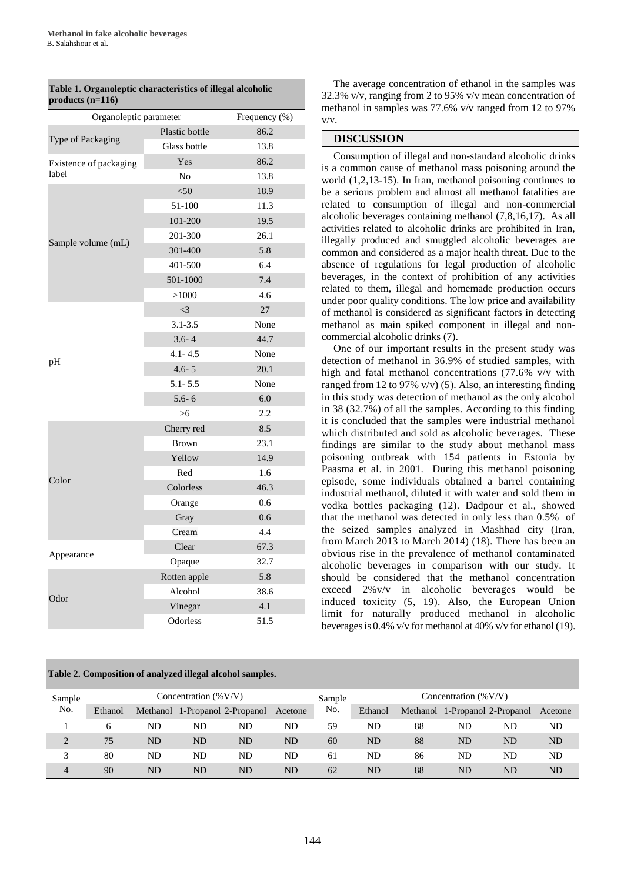| $\sim$                 |                |        |  |  |  |  |  |  |  |  |
|------------------------|----------------|--------|--|--|--|--|--|--|--|--|
| Organoleptic parameter | Frequency (%)  |        |  |  |  |  |  |  |  |  |
|                        | Plastic bottle | 86.2   |  |  |  |  |  |  |  |  |
| Type of Packaging      | Glass bottle   | 13.8   |  |  |  |  |  |  |  |  |
| Existence of packaging | Yes            | 86.2   |  |  |  |  |  |  |  |  |
| label                  | N <sub>o</sub> | 13.8   |  |  |  |  |  |  |  |  |
|                        | $50$           | 18.9   |  |  |  |  |  |  |  |  |
|                        | 51-100         | 11.3   |  |  |  |  |  |  |  |  |
|                        | 101-200        | 19.5   |  |  |  |  |  |  |  |  |
| Sample volume (mL)     | 201-300        | 26.1   |  |  |  |  |  |  |  |  |
|                        | 301-400        | 5.8    |  |  |  |  |  |  |  |  |
|                        | 401-500        | 6.4    |  |  |  |  |  |  |  |  |
|                        | 501-1000       | 7.4    |  |  |  |  |  |  |  |  |
|                        | >1000          | 4.6    |  |  |  |  |  |  |  |  |
|                        | $\leq$ 3       | $27\,$ |  |  |  |  |  |  |  |  |
|                        | $3.1 - 3.5$    | None   |  |  |  |  |  |  |  |  |
|                        | $3.6 - 4$      | 44.7   |  |  |  |  |  |  |  |  |
| pH                     | $4.1 - 4.5$    | None   |  |  |  |  |  |  |  |  |
|                        | $4.6 - 5$      | 20.1   |  |  |  |  |  |  |  |  |
|                        | $5.1 - 5.5$    | None   |  |  |  |  |  |  |  |  |
|                        | $5.6 - 6$      | 6.0    |  |  |  |  |  |  |  |  |
|                        | >6             | 2.2    |  |  |  |  |  |  |  |  |
|                        | Cherry red     | 8.5    |  |  |  |  |  |  |  |  |
|                        | <b>Brown</b>   | 23.1   |  |  |  |  |  |  |  |  |
|                        | Yellow         | 14.9   |  |  |  |  |  |  |  |  |
| Color                  | Red            | 1.6    |  |  |  |  |  |  |  |  |
|                        | Colorless      | 46.3   |  |  |  |  |  |  |  |  |
|                        | Orange         | 0.6    |  |  |  |  |  |  |  |  |
|                        | Gray           | 0.6    |  |  |  |  |  |  |  |  |
|                        | Cream          | 4.4    |  |  |  |  |  |  |  |  |
|                        | Clear          | 67.3   |  |  |  |  |  |  |  |  |
| Appearance             | Opaque         | 32.7   |  |  |  |  |  |  |  |  |
|                        | Rotten apple   | 5.8    |  |  |  |  |  |  |  |  |
| Odor                   | Alcohol        | 38.6   |  |  |  |  |  |  |  |  |
|                        | Vinegar        | 4.1    |  |  |  |  |  |  |  |  |
|                        | Odorless       | 51.5   |  |  |  |  |  |  |  |  |

**Table 1. Organoleptic characteristics of illegal alcoholic products (n=116)**

**Table 2. Composition of analyzed illegal alcohol samples.**

The average concentration of ethanol in the samples was 32.3% v/v, ranging from 2 to 95% v/v mean concentration of methanol in samples was 77.6% v/v ranged from 12 to 97% v/v.

#### **DISCUSSION**

Consumption of illegal and non-standard alcoholic drinks is a common cause of methanol mass poisoning around the world (1,2,13-15). In Iran, methanol poisoning continues to be a serious problem and almost all methanol fatalities are related to consumption of illegal and non-commercial alcoholic beverages containing methanol (7,8,16,17). As all activities related to alcoholic drinks are prohibited in Iran, illegally produced and smuggled alcoholic beverages are common and considered as a major health threat. Due to the absence of regulations for legal production of alcoholic beverages, in the context of prohibition of any activities related to them, illegal and homemade production occurs under poor quality conditions. The low price and availability of methanol is considered as significant factors in detecting methanol as main spiked component in illegal and noncommercial alcoholic drinks (7).

One of our important results in the present study was detection of methanol in 36.9% of studied samples, with high and fatal methanol concentrations (77.6% v/v with ranged from 12 to 97% v/v) (5). Also, an interesting finding in this study was detection of methanol as the only alcohol in 38 (32.7%) of all the samples. According to this finding it is concluded that the samples were industrial methanol which distributed and sold as alcoholic beverages. These findings are similar to the study about methanol mass poisoning outbreak with 154 patients in Estonia by Paasma et al. in 2001. During this methanol poisoning episode, some individuals obtained a barrel containing industrial methanol, diluted it with water and sold them in vodka bottles packaging (12). Dadpour et al., showed that the methanol was detected in only less than 0.5% of the seized samples analyzed in Mashhad city (Iran, from March 2013 to March 2014) (18). There has been an obvious rise in the prevalence of methanol contaminated alcoholic beverages in comparison with our study. It should be considered that the methanol concentration exceed 2%v/v in alcoholic beverages would be induced toxicity (5, 19). Also, the European Union limit for naturally produced methanol in alcoholic beverages is 0.4% v/v for methanol at 40% v/v for ethanol (19).

| Sample         | Concentration $(\%V/V)$ |           |    |                                |         | Sample | Concentration $(\%V/V)$ |    |    |                                |           |
|----------------|-------------------------|-----------|----|--------------------------------|---------|--------|-------------------------|----|----|--------------------------------|-----------|
| No.            | Ethanol                 |           |    | Methanol 1-Propanol 2-Propanol | Acetone | No.    | Ethanol                 |    |    | Methanol 1-Propanol 2-Propanol | Acetone   |
|                | 6                       | ND        | ND | ND                             | ND      | 59     | ND                      | 88 | ND | ND                             | ND        |
| $\overline{2}$ | 75                      | ND        | ND | <b>ND</b>                      | ND      | 60     | ND                      | 88 | ND | ND                             | <b>ND</b> |
| 3              | 80                      | ND        | ND | ND                             | ND      | 61     | ND                      | 86 | ND | ND                             | ND        |
| 4              | 90                      | <b>ND</b> | ND | <b>ND</b>                      | ND      | 62     | ND                      | 88 | ND | ND                             | ND        |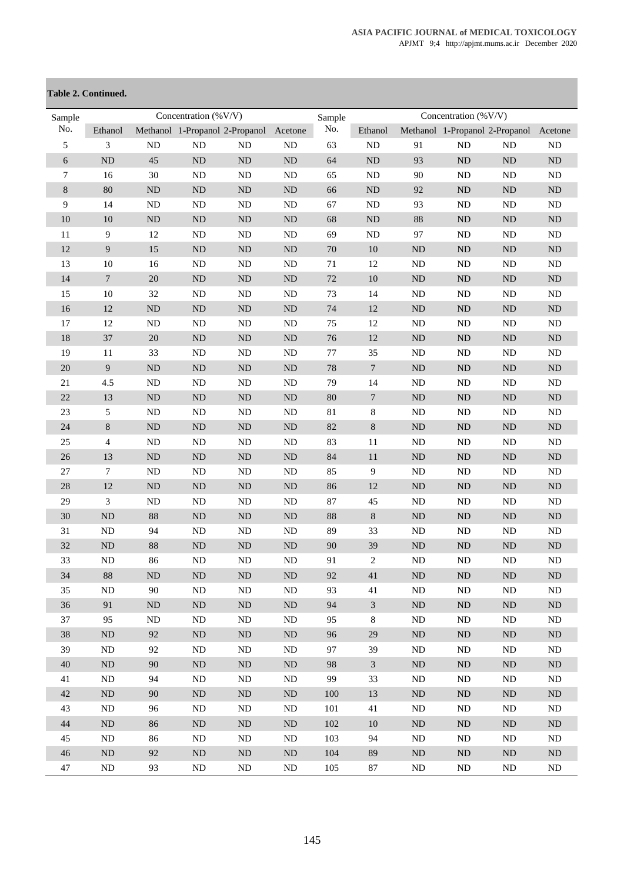# **Table 2. Continued.**

| Sample     | Concentration (%V/V) |            |                                |            |           | Sample  |                  |           | Concentration (%V/V)           |          |          |
|------------|----------------------|------------|--------------------------------|------------|-----------|---------|------------------|-----------|--------------------------------|----------|----------|
| No.        | Ethanol              |            | Methanol 1-Propanol 2-Propanol |            | Acetone   | No.     | Ethanol          |           | Methanol 1-Propanol 2-Propanol |          | Acetone  |
| 5          | 3                    | ${\rm ND}$ | ${\rm ND}$                     | ${\rm ND}$ | <b>ND</b> | 63      | ND               | 91        | ND                             | ND       | $\rm ND$ |
| $\sqrt{6}$ | ND                   | 45         | $\rm ND$                       | ND         | ND        | 64      | $\rm ND$         | 93        | ND                             | $\rm ND$ | $\rm ND$ |
| 7          | 16                   | 30         | ND                             | ND         | ND        | 65      | $\rm ND$         | 90        | ${\rm ND}$                     | $\rm ND$ | $\rm ND$ |
| $\,8\,$    | 80                   | $\rm ND$   | $\rm ND$                       | ND         | ND        | 66      | $\rm ND$         | 92        | $\rm ND$                       | $\rm ND$ | $\rm ND$ |
| 9          | 14                   | $\rm ND$   | ${\rm ND}$                     | ND         | ND        | 67      | $\rm ND$         | 93        | ND                             | $\rm ND$ | $\rm ND$ |
| 10         | 10                   | $\rm ND$   | $\rm ND$                       | ND         | ND        | 68      | $\rm ND$         | 88        | ND                             | $\rm ND$ | $\rm ND$ |
| 11         | $\overline{9}$       | 12         | ${\rm ND}$                     | $\rm ND$   | $\rm ND$  | 69      | $\rm ND$         | 97        | ND                             | $\rm ND$ | $\rm ND$ |
| 12         | 9                    | 15         | $\rm ND$                       | ND         | <b>ND</b> | $70\,$  | $10\,$           | <b>ND</b> | ND                             | $\rm ND$ | $\rm ND$ |
| 13         | 10                   | 16         | $\rm ND$                       | ND         | <b>ND</b> | 71      | 12               | <b>ND</b> | <b>ND</b>                      | $\rm ND$ | $\rm ND$ |
| 14         | $\boldsymbol{7}$     | $20\,$     | $\rm ND$                       | ND         | ND        | 72      | $10\,$           | ND        | ND                             | $\rm ND$ | $\rm ND$ |
| 15         | 10                   | 32         | ${\rm ND}$                     | ND         | ND        | 73      | 14               | ND        | ND                             | $\rm ND$ | $\rm ND$ |
| 16         | 12                   | $\rm ND$   | $\rm ND$                       | $\rm ND$   | ND        | 74      | $12\,$           | ND        | $\rm ND$                       | $\rm ND$ | $\rm ND$ |
| 17         | 12                   | $\rm ND$   | $\rm ND$                       | $\rm ND$   | $\rm ND$  | 75      | 12               | ND        | ND                             | $\rm ND$ | $\rm ND$ |
| 18         | 37                   | 20         | $\rm ND$                       | ND         | ND        | 76      | $12\,$           | ND        | ND                             | $\rm ND$ | $\rm ND$ |
| 19         | 11                   | 33         | ${\rm ND}$                     | $\rm ND$   | $\rm ND$  | $77 \,$ | 35               | ND        | ND                             | $\rm ND$ | $\rm ND$ |
| 20         | 9                    | $\rm ND$   | $\rm ND$                       | ND         | ND        | 78      | $\boldsymbol{7}$ | ND        | $\rm ND$                       | $\rm ND$ | $\rm ND$ |
| 21         | 4.5                  | $\rm ND$   | ${\rm ND}$                     | ND         | <b>ND</b> | 79      | 14               | ND        | ND                             | $\rm ND$ | $\rm ND$ |
| 22         | 13                   | $\rm ND$   | $\rm ND$                       | ND         | <b>ND</b> | $80\,$  | $\overline{7}$   | ND        | ND                             | $\rm ND$ | $\rm ND$ |
| 23         | 5                    | $\rm ND$   | $\rm ND$                       | ND         | <b>ND</b> | 81      | 8                | ND        | ND                             | $\rm ND$ | $\rm ND$ |
| 24         | $\,8\,$              | $\rm ND$   | $\rm ND$                       | ND         | ND        | 82      | $8\,$            | ND        | ND                             | $\rm ND$ | $\rm ND$ |
| 25         | $\overline{4}$       | $\rm ND$   | ${\rm ND}$                     | ND         | ND        | 83      | 11               | ND        | ND                             | $\rm ND$ | $\rm ND$ |
| 26         | 13                   | $\rm ND$   | $\rm ND$                       | ND         | <b>ND</b> | 84      | 11               | <b>ND</b> | $\rm ND$                       | $\rm ND$ | $\rm ND$ |
| 27         | $\overline{7}$       | $\rm ND$   | ${\rm ND}$                     | ND         | <b>ND</b> | 85      | $\boldsymbol{9}$ | <b>ND</b> | ND                             | $\rm ND$ | ND       |
| 28         | 12                   | $\rm ND$   | $\rm ND$                       | ND         | <b>ND</b> | 86      | $12\,$           | ND        | ND                             | $\rm ND$ | $\rm ND$ |
| 29         | 3                    | $\rm ND$   | ${\rm ND}$                     | ND         | ND        | 87      | 45               | ND        | ND                             | $\rm ND$ | $\rm ND$ |
| 30         | ND                   | 88         | $\rm ND$                       | $\rm ND$   | ND        | 88      | $8\,$            | ND        | $\rm ND$                       | $\rm ND$ | $\rm ND$ |
| 31         | <b>ND</b>            | 94         | $\rm ND$                       | <b>ND</b>  | <b>ND</b> | 89      | 33               | ND        | ND                             | $\rm ND$ | ND       |
| 32         | ND                   | 88         | $\rm ND$                       | ND         | ND        | 90      | 39               | ND        | ND                             | $\rm ND$ | $\rm ND$ |
| 33         | $\rm ND$             | 86         | $\rm ND$                       | ND         | $\rm ND$  | 91      | $\overline{c}$   | $\rm ND$  | ND                             | $\rm ND$ | ND       |
| 34         | $88\,$               | $\rm ND$   | $\rm ND$                       | $\rm ND$   | ND        | 92      | 41               | $\rm ND$  | $\rm ND$                       | $\rm ND$ | ND       |
| 35         | ND                   | 90         | ND                             | ${\rm ND}$ | <b>ND</b> | 93      | 41               | ND        | $\rm ND$                       | $\rm ND$ | ND       |
| 36         | 91                   | $\rm ND$   | $\rm ND$                       | $\rm ND$   | $\rm ND$  | 94      | $\mathfrak{Z}$   | $\rm ND$  | ND                             | $\rm ND$ | $\rm ND$ |
| 37         | 95                   | ND         | ND                             | ND         | ND        | 95      | 8                | ND        | ND                             | ND       | ND       |
| 38         | ND                   | 92         | $\rm ND$                       | $\rm ND$   | ND        | 96      | $29\,$           | ND        | ND                             | $\rm ND$ | ND       |
| 39         | <b>ND</b>            | 92         | $\rm ND$                       | $\rm ND$   | $\rm ND$  | 97      | 39               | ND        | ND                             | $\rm ND$ | ND       |
| $40\,$     | ND                   | 90         | ND                             | ND         | ND        | 98      | $\mathfrak{Z}$   | ND        | ${\rm ND}$                     | ND       | ND       |
| 41         | ND                   | 94         | $\rm ND$                       | ND         | <b>ND</b> | 99      | 33               | ND        | <b>ND</b>                      | ND       | ND       |
| 42         | <b>ND</b>            | 90         | ND                             | ND         | ND        | 100     | 13               | ND        | ${\rm ND}$                     | $\rm ND$ | ND       |
| 43         | $\rm ND$             | 96         | $\rm ND$                       | $\rm ND$   | $\rm ND$  | 101     | 41               | ND        | $\rm ND$                       | $\rm ND$ | $\rm ND$ |
| $44\,$     | ND                   | 86         | ND                             | $\rm ND$   | $\rm ND$  | 102     | 10               | ND        | ND                             | ND       | ND       |
| 45         | <b>ND</b>            | 86         | ND                             | ND         | <b>ND</b> | 103     | 94               | ND        | <b>ND</b>                      | ND       | ND       |
| 46         | ND                   | 92         | $\rm ND$                       | $\rm ND$   | $\rm ND$  | 104     | 89               | ND        | $\rm ND$                       | $\rm ND$ | $\rm ND$ |
| 47         | ND                   | 93         | ND                             | ND         | $\rm ND$  | 105     | $87\,$           | ND        | ND                             | $\rm ND$ | ND       |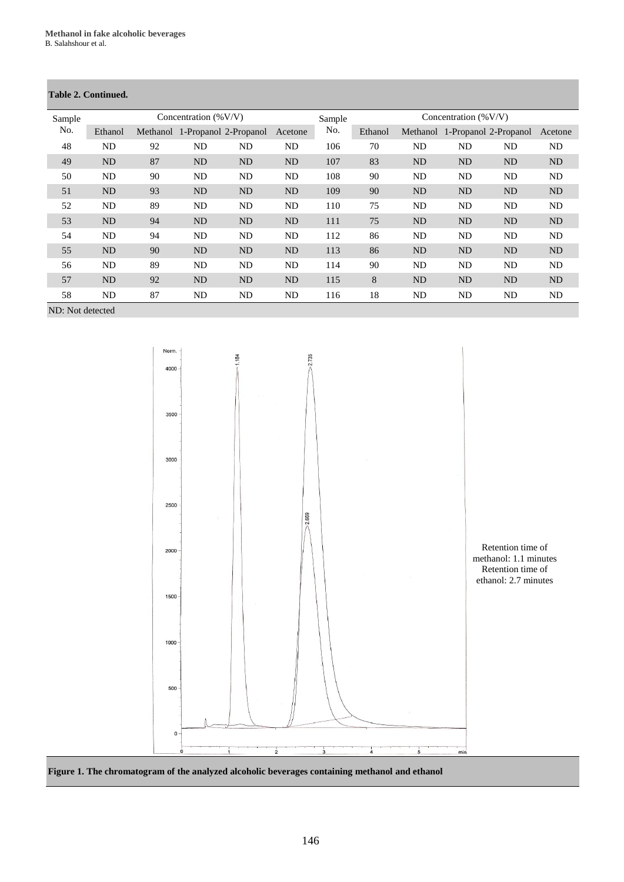# **Table 2. Continued.**

| Sample | Concentration $(\%V/V)$ |    |    |                                |           |     | Concentration $(\%V/V)$ |                |           |                                |                |
|--------|-------------------------|----|----|--------------------------------|-----------|-----|-------------------------|----------------|-----------|--------------------------------|----------------|
| No.    | Ethanol                 |    |    | Methanol 1-Propanol 2-Propanol | Acetone   | No. | Ethanol                 |                |           | Methanol 1-Propanol 2-Propanol | Acetone        |
| 48     | ND                      | 92 | ND | ND                             | ND        | 106 | 70                      | ND             | ND        | ND                             | ND             |
| 49     | N <sub>D</sub>          | 87 | ND | <b>ND</b>                      | <b>ND</b> | 107 | 83                      | N <sub>D</sub> | <b>ND</b> | <b>ND</b>                      | N <sub>D</sub> |
| 50     | ND                      | 90 | ND | ND                             | ND        | 108 | 90                      | ND             | ND        | ND                             | ND             |
| 51     | <b>ND</b>               | 93 | ND | <b>ND</b>                      | ND        | 109 | 90                      | ND             | <b>ND</b> | <b>ND</b>                      | N <sub>D</sub> |
| 52     | ND                      | 89 | ND | ND                             | <b>ND</b> | 110 | 75                      | ND             | ND        | <b>ND</b>                      | ND             |
| 53     | N <sub>D</sub>          | 94 | ND | <b>ND</b>                      | <b>ND</b> | 111 | 75                      | ND             | <b>ND</b> | <b>ND</b>                      | N <sub>D</sub> |
| 54     | ND                      | 94 | ND | ND                             | ND        | 112 | 86                      | ND             | ND        | ND                             | ND             |
| 55     | N <sub>D</sub>          | 90 | ND | <b>ND</b>                      | ND        | 113 | 86                      | ND             | <b>ND</b> | <b>ND</b>                      | N <sub>D</sub> |
| 56     | ND                      | 89 | ND | <b>ND</b>                      | ND        | 114 | 90                      | ND             | ND        | ND                             | ND             |
| 57     | <b>ND</b>               | 92 | ND | <b>ND</b>                      | <b>ND</b> | 115 | 8                       | N <sub>D</sub> | <b>ND</b> | <b>ND</b>                      | N <sub>D</sub> |
| 58     | ND                      | 87 | ND | ND                             | ND        | 116 | 18                      | ND             | ND        | ND                             | ND             |
|        |                         |    |    |                                |           |     |                         |                |           |                                |                |

ND: Not detected



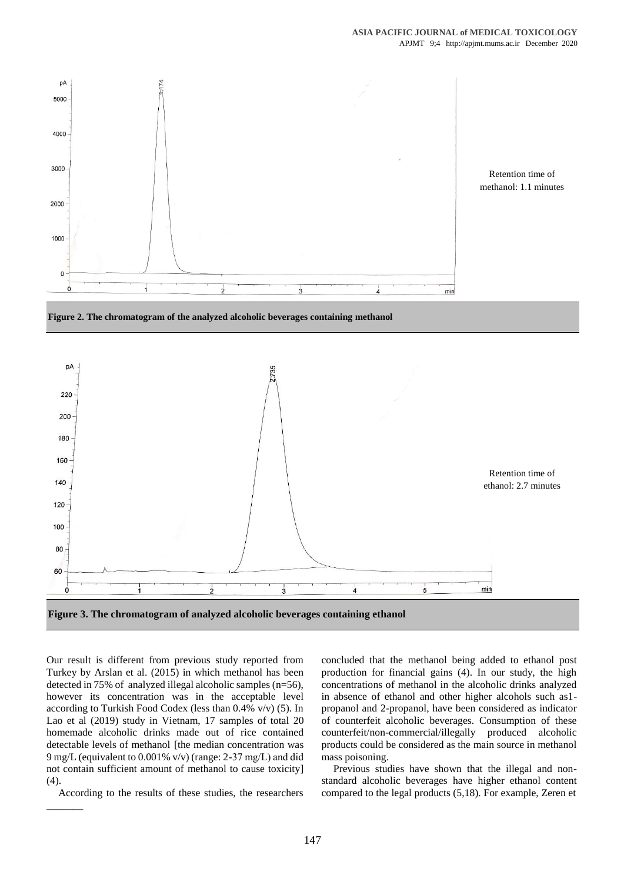

**Figure 2. The chromatogram of the analyzed alcoholic beverages containing methanol**



Our result is different from previous study reported from Turkey by Arslan et al. (2015) in which methanol has been detected in 75% of analyzed illegal alcoholic samples (n=56), however its concentration was in the acceptable level according to Turkish Food Codex (less than 0.4% v/v) (5). In Lao et al (2019) study in Vietnam, 17 samples of total 20 homemade alcoholic drinks made out of rice contained detectable levels of methanol [the median concentration was 9 mg/L (equivalent to 0.001% v/v) (range: 2-37 mg/L) and did not contain sufficient amount of methanol to cause toxicity] (4).

According to the results of these studies, the researchers

 $\overline{\phantom{a}}$ 

concluded that the methanol being added to ethanol post production for financial gains (4). In our study, the high concentrations of methanol in the alcoholic drinks analyzed in absence of ethanol and other higher alcohols such as1 propanol and 2-propanol, have been considered as indicator of counterfeit alcoholic beverages. Consumption of these counterfeit/non-commercial/illegally produced alcoholic products could be considered as the main source in methanol mass poisoning.

Previous studies have shown that the illegal and nonstandard alcoholic beverages have higher ethanol content compared to the legal products (5,18). For example, Zeren et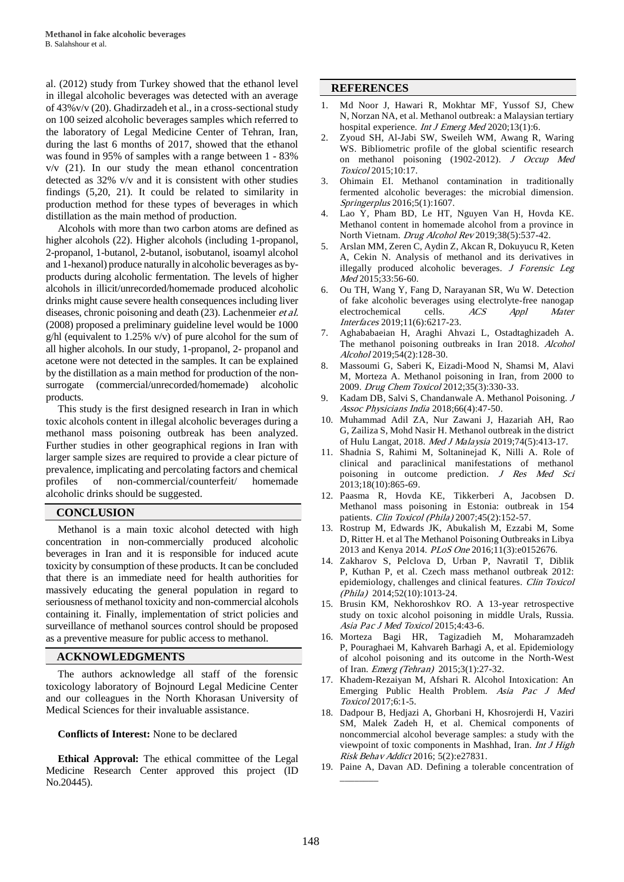al. (2012) study from Turkey showed that the ethanol level in illegal alcoholic beverages was detected with an average of 43%v/v (20). Ghadirzadeh et al., in a cross-sectional study on 100 seized alcoholic beverages samples which referred to the laboratory of Legal Medicine Center of Tehran, Iran, during the last 6 months of 2017, showed that the ethanol was found in 95% of samples with a range between 1 - 83% v/v (21). In our study the mean ethanol concentration detected as 32% v/v and it is consistent with other studies findings (5,20, 21). It could be related to similarity in production method for these types of beverages in which distillation as the main method of production.

Alcohols with more than two carbon atoms are defined as higher alcohols (22). Higher alcohols (including 1-propanol, 2-propanol, 1-butanol, 2-butanol, isobutanol, isoamyl alcohol and 1-hexanol) produce naturally in alcoholic beverages as byproducts during alcoholic fermentation. The levels of higher alcohols in illicit/unrecorded/homemade produced alcoholic drinks might cause severe health consequences including liver diseases, chronic poisoning and death (23). Lachenmeier et al. (2008) proposed a preliminary guideline level would be 1000  $g/hl$  (equivalent to 1.25% v/v) of pure alcohol for the sum of all higher alcohols. In our study, 1-propanol, 2- propanol and acetone were not detected in the samples. It can be explained by the distillation as a main method for production of the nonsurrogate (commercial/unrecorded/homemade) alcoholic products.

This study is the first designed research in Iran in which toxic alcohols content in illegal alcoholic beverages during a methanol mass poisoning outbreak has been analyzed. Further studies in other geographical regions in Iran with larger sample sizes are required to provide a clear picture of prevalence, implicating and percolating factors and chemical profiles of non-commercial/counterfeit/ homemade alcoholic drinks should be suggested.

## **CONCLUSION**

Methanol is a main toxic alcohol detected with high concentration in non-commercially produced alcoholic beverages in Iran and it is responsible for induced acute toxicity by consumption of these products. It can be concluded that there is an immediate need for health authorities for massively educating the general population in regard to seriousness of methanol toxicity and non-commercial alcohols containing it. Finally, implementation of strict policies and surveillance of methanol sources control should be proposed as a preventive measure for public access to methanol.

## **ACKNOWLEDGMENTS**

The authors acknowledge all staff of the forensic toxicology laboratory of Bojnourd Legal Medicine Center and our colleagues in the North Khorasan University of Medical Sciences for their invaluable assistance.

**Conflicts of Interest:** None to be declared

**Ethical Approval:** The ethical committee of the Legal Medicine Research Center approved this project (ID No.20445).

#### **REFERENCES**

- 1. [Md Noor J,](https://www.ncbi.nlm.nih.gov/pubmed/?term=Md%20Noor%20J%5BAuthor%5D&cauthor=true&cauthor_uid=32028888) [Hawari R,](https://www.ncbi.nlm.nih.gov/pubmed/?term=Hawari%20R%5BAuthor%5D&cauthor=true&cauthor_uid=32028888) [Mokhtar MF,](https://www.ncbi.nlm.nih.gov/pubmed/?term=Mokhtar%20MF%5BAuthor%5D&cauthor=true&cauthor_uid=32028888) [Yussof SJ,](https://www.ncbi.nlm.nih.gov/pubmed/?term=Yussof%20SJ%5BAuthor%5D&cauthor=true&cauthor_uid=32028888) [Chew](https://www.ncbi.nlm.nih.gov/pubmed/?term=Chew%20N%5BAuthor%5D&cauthor=true&cauthor_uid=32028888)  [N,](https://www.ncbi.nlm.nih.gov/pubmed/?term=Chew%20N%5BAuthor%5D&cauthor=true&cauthor_uid=32028888) [Norzan NA,](https://www.ncbi.nlm.nih.gov/pubmed/?term=Norzan%20NA%5BAuthor%5D&cauthor=true&cauthor_uid=32028888) et al. Methanol outbreak: a Malaysian tertiary hospital experience. *[Int J Emerg Med](https://www.ncbi.nlm.nih.gov/pubmed/32028888)* 2020;13(1):6.
- 2. [Zyoud SH,](https://www.ncbi.nlm.nih.gov/pubmed/?term=Zyoud%20SH%5BAuthor%5D&cauthor=true&cauthor_uid=25949270) [Al-Jabi SW,](https://www.ncbi.nlm.nih.gov/pubmed/?term=Al-Jabi%20SW%5BAuthor%5D&cauthor=true&cauthor_uid=25949270) [Sweileh WM,](https://www.ncbi.nlm.nih.gov/pubmed/?term=Sweileh%20WM%5BAuthor%5D&cauthor=true&cauthor_uid=25949270) [Awang R,](https://www.ncbi.nlm.nih.gov/pubmed/?term=Awang%20R%5BAuthor%5D&cauthor=true&cauthor_uid=25949270) [Waring](https://www.ncbi.nlm.nih.gov/pubmed/?term=Waring%20WS%5BAuthor%5D&cauthor=true&cauthor_uid=25949270)  [WS.](https://www.ncbi.nlm.nih.gov/pubmed/?term=Waring%20WS%5BAuthor%5D&cauthor=true&cauthor_uid=25949270) Bibliometric profile of the global scientific research on methanol poisoning (1902-2012). [J Occup Med](https://www.ncbi.nlm.nih.gov/pubmed/25949270)  [Toxicol](https://www.ncbi.nlm.nih.gov/pubmed/25949270) 2015;10:17.
- 3. [Ohimain EI.](https://www.ncbi.nlm.nih.gov/pubmed/?term=Ohimain%20EI%5BAuthor%5D&cauthor=true&cauthor_uid=27652180) Methanol contamination in traditionally fermented alcoholic beverages: the microbial dimension. [Springerplus](https://www.ncbi.nlm.nih.gov/pubmed/27652180) 2016;5(1):1607.
- 4. [Lao Y,](https://www.ncbi.nlm.nih.gov/pubmed/?term=Lao%20Y%5BAuthor%5D&cauthor=true&cauthor_uid=31095796) [Pham BD,](https://www.ncbi.nlm.nih.gov/pubmed/?term=Pham%20BD%5BAuthor%5D&cauthor=true&cauthor_uid=31095796) [Le HT,](https://www.ncbi.nlm.nih.gov/pubmed/?term=Le%20HT%5BAuthor%5D&cauthor=true&cauthor_uid=31095796) [Nguyen Van H,](https://www.ncbi.nlm.nih.gov/pubmed/?term=Nguyen%20Van%20H%5BAuthor%5D&cauthor=true&cauthor_uid=31095796) [Hovda KE.](https://www.ncbi.nlm.nih.gov/pubmed/?term=Hovda%20KE%5BAuthor%5D&cauthor=true&cauthor_uid=31095796)  Methanol content in homemade alcohol from a province in North Vietnam. [Drug Alcohol Rev](https://www.ncbi.nlm.nih.gov/pubmed/31095796) 2019;38(5):537-42.
- 5. [Arslan MM,](https://www.ncbi.nlm.nih.gov/pubmed/?term=Arslan%20MM%5BAuthor%5D&cauthor=true&cauthor_uid=26048498) [Zeren C,](https://www.ncbi.nlm.nih.gov/pubmed/?term=Zeren%20C%5BAuthor%5D&cauthor=true&cauthor_uid=26048498) [Aydin Z,](https://www.ncbi.nlm.nih.gov/pubmed/?term=Aydin%20Z%5BAuthor%5D&cauthor=true&cauthor_uid=26048498) [Akcan R,](https://www.ncbi.nlm.nih.gov/pubmed/?term=Akcan%20R%5BAuthor%5D&cauthor=true&cauthor_uid=26048498) [Dokuyucu R,](https://www.ncbi.nlm.nih.gov/pubmed/?term=Dokuyucu%20R%5BAuthor%5D&cauthor=true&cauthor_uid=26048498) [Keten](https://www.ncbi.nlm.nih.gov/pubmed/?term=Keten%20A%5BAuthor%5D&cauthor=true&cauthor_uid=26048498)  [A,](https://www.ncbi.nlm.nih.gov/pubmed/?term=Keten%20A%5BAuthor%5D&cauthor=true&cauthor_uid=26048498) [Cekin N.](https://www.ncbi.nlm.nih.gov/pubmed/?term=Cekin%20N%5BAuthor%5D&cauthor=true&cauthor_uid=26048498) Analysis of methanol and its derivatives in illegally produced alcoholic beverages. [J Forensic Leg](https://www.ncbi.nlm.nih.gov/pubmed/26048498)  [Med](https://www.ncbi.nlm.nih.gov/pubmed/26048498) 2015;33:56-60.
- 6. [Ou TH,](https://www.ncbi.nlm.nih.gov/pubmed/?term=Ou%20TH%5BAuthor%5D&cauthor=true&cauthor_uid=30663304) [Wang Y,](https://www.ncbi.nlm.nih.gov/pubmed/?term=Wang%20Y%5BAuthor%5D&cauthor=true&cauthor_uid=30663304) [Fang D,](https://www.ncbi.nlm.nih.gov/pubmed/?term=Fang%20D%5BAuthor%5D&cauthor=true&cauthor_uid=30663304) [Narayanan SR,](https://www.ncbi.nlm.nih.gov/pubmed/?term=Narayanan%20SR%5BAuthor%5D&cauthor=true&cauthor_uid=30663304) [Wu W.](https://www.ncbi.nlm.nih.gov/pubmed/?term=Wu%20W%5BAuthor%5D&cauthor=true&cauthor_uid=30663304) Detection of fake alcoholic beverages using electrolyte-free nanogap electrochemical cells. ACS Appl Mater [Interfaces](https://www.ncbi.nlm.nih.gov/pubmed/30663304) 2019;11(6):6217-23.
- 7. [Aghababaeian H,](https://www.ncbi.nlm.nih.gov/pubmed/?term=Aghababaeian%20H%5BAuthor%5D&cauthor=true&cauthor_uid=30715164) [Araghi Ahvazi L,](https://www.ncbi.nlm.nih.gov/pubmed/?term=Araghi%20Ahvazi%20L%5BAuthor%5D&cauthor=true&cauthor_uid=30715164) [Ostadtaghizadeh A.](https://www.ncbi.nlm.nih.gov/pubmed/?term=Ostadtaghizadeh%20A%5BAuthor%5D&cauthor=true&cauthor_uid=30715164)  The methanol poisoning outbreaks in Iran 2018. [Alcohol](https://www.ncbi.nlm.nih.gov/pubmed/30715164)  [Alcohol](https://www.ncbi.nlm.nih.gov/pubmed/30715164) 2019;54(2):128-30.
- 8. [Massoumi G,](https://www.ncbi.nlm.nih.gov/pubmed/?term=Massoumi%20G%5BAuthor%5D&cauthor=true&cauthor_uid=22289573) [Saberi K,](https://www.ncbi.nlm.nih.gov/pubmed/?term=Saberi%20K%5BAuthor%5D&cauthor=true&cauthor_uid=22289573) [Eizadi-Mood N,](https://www.ncbi.nlm.nih.gov/pubmed/?term=Eizadi-Mood%20N%5BAuthor%5D&cauthor=true&cauthor_uid=22289573) [Shamsi M,](https://www.ncbi.nlm.nih.gov/pubmed/?term=Shamsi%20M%5BAuthor%5D&cauthor=true&cauthor_uid=22289573) [Alavi](https://www.ncbi.nlm.nih.gov/pubmed/?term=Alavi%20M%5BAuthor%5D&cauthor=true&cauthor_uid=22289573)  [M,](https://www.ncbi.nlm.nih.gov/pubmed/?term=Alavi%20M%5BAuthor%5D&cauthor=true&cauthor_uid=22289573) [Morteza A.](https://www.ncbi.nlm.nih.gov/pubmed/?term=Morteza%20A%5BAuthor%5D&cauthor=true&cauthor_uid=22289573) Methanol poisoning in Iran, from 2000 to 2009. [Drug Chem Toxicol](https://www.ncbi.nlm.nih.gov/pubmed/22289573) 2012;35(3):330-33.
- 9. [Kadam DB,](https://www.ncbi.nlm.nih.gov/pubmed/?term=Kadam%20DB%5BAuthor%5D&cauthor=true&cauthor_uid=30347953) [Salvi S,](https://www.ncbi.nlm.nih.gov/pubmed/?term=Salvi%20S%5BAuthor%5D&cauthor=true&cauthor_uid=30347953) [Chandanwale A.](https://www.ncbi.nlm.nih.gov/pubmed/?term=Chandanwale%20A%5BAuthor%5D&cauthor=true&cauthor_uid=30347953) Methanol Poisoning. [J](https://www.ncbi.nlm.nih.gov/pubmed/30347953)  [Assoc Physicians India](https://www.ncbi.nlm.nih.gov/pubmed/30347953) 2018;66(4):47-50.
- 10. [Muhammad Adil ZA,](https://www.ncbi.nlm.nih.gov/pubmed/?term=Muhammad%20Adil%20ZA%5BAuthor%5D&cauthor=true&cauthor_uid=31649218) [Nur Zawani J,](https://www.ncbi.nlm.nih.gov/pubmed/?term=Nur%20Zawani%20J%5BAuthor%5D&cauthor=true&cauthor_uid=31649218) [Hazariah AH,](https://www.ncbi.nlm.nih.gov/pubmed/?term=Hazariah%20AH%5BAuthor%5D&cauthor=true&cauthor_uid=31649218) [Rao](https://www.ncbi.nlm.nih.gov/pubmed/?term=Rao%20G%5BAuthor%5D&cauthor=true&cauthor_uid=31649218)  [G,](https://www.ncbi.nlm.nih.gov/pubmed/?term=Rao%20G%5BAuthor%5D&cauthor=true&cauthor_uid=31649218) [Zailiza S,](https://www.ncbi.nlm.nih.gov/pubmed/?term=Zailiza%20S%5BAuthor%5D&cauthor=true&cauthor_uid=31649218) [Mohd Nasir H.](https://www.ncbi.nlm.nih.gov/pubmed/?term=Mohd%20Nasir%20H%5BAuthor%5D&cauthor=true&cauthor_uid=31649218) Methanol outbreak in the district of Hulu Langat, 2018. [Med J Malaysia](https://www.ncbi.nlm.nih.gov/pubmed/31649218) 2019;74(5):413-17.
- 11. [Shadnia S,](http://www.ncbi.nlm.nih.gov/pubmed?term=Shadnia%20S%5BAuthor%5D&cauthor=true&cauthor_uid=24497857) [Rahimi M,](http://www.ncbi.nlm.nih.gov/pubmed?term=Rahimi%20M%5BAuthor%5D&cauthor=true&cauthor_uid=24497857) [Soltaninejad K,](http://www.ncbi.nlm.nih.gov/pubmed?term=Soltaninejad%20K%5BAuthor%5D&cauthor=true&cauthor_uid=24497857) [Nilli A.](http://www.ncbi.nlm.nih.gov/pubmed?term=Nilli%20A%5BAuthor%5D&cauthor=true&cauthor_uid=24497857) Role of clinical and paraclinical manifestations of methanol poisoning in outcome prediction. [J Res Med Sci](http://www.ncbi.nlm.nih.gov/pubmed/24497857) 2013;18(10):865-69.
- 12. [Paasma R,](https://www.ncbi.nlm.nih.gov/pubmed/?term=Paasma%20R%5BAuthor%5D&cauthor=true&cauthor_uid=17364632) [Hovda KE,](https://www.ncbi.nlm.nih.gov/pubmed/?term=Hovda%20KE%5BAuthor%5D&cauthor=true&cauthor_uid=17364632) [Tikkerberi A,](https://www.ncbi.nlm.nih.gov/pubmed/?term=Tikkerberi%20A%5BAuthor%5D&cauthor=true&cauthor_uid=17364632) [Jacobsen D.](https://www.ncbi.nlm.nih.gov/pubmed/?term=Jacobsen%20D%5BAuthor%5D&cauthor=true&cauthor_uid=17364632)  Methanol mass poisoning in Estonia: outbreak in 154 patients. [Clin Toxicol \(Phila\)](https://www.ncbi.nlm.nih.gov/pubmed/17364632) 2007;45(2):152-57.
- 13. [Rostrup M,](https://www.ncbi.nlm.nih.gov/pubmed/?term=Rostrup%20M%5BAuthor%5D&cauthor=true&cauthor_uid=27030969) [Edwards JK,](https://www.ncbi.nlm.nih.gov/pubmed/?term=Edwards%20JK%5BAuthor%5D&cauthor=true&cauthor_uid=27030969) [Abukalish M,](https://www.ncbi.nlm.nih.gov/pubmed/?term=Abukalish%20M%5BAuthor%5D&cauthor=true&cauthor_uid=27030969) [Ezzabi M,](https://www.ncbi.nlm.nih.gov/pubmed/?term=Ezzabi%20M%5BAuthor%5D&cauthor=true&cauthor_uid=27030969) [Some](https://www.ncbi.nlm.nih.gov/pubmed/?term=Some%20D%5BAuthor%5D&cauthor=true&cauthor_uid=27030969)  [D,](https://www.ncbi.nlm.nih.gov/pubmed/?term=Some%20D%5BAuthor%5D&cauthor=true&cauthor_uid=27030969) [Ritter H.](https://www.ncbi.nlm.nih.gov/pubmed/?term=Ritter%20H%5BAuthor%5D&cauthor=true&cauthor_uid=27030969) et al The Methanol Poisoning Outbreaks in Libya 2013 and Kenya 2014. [PLoS](https://www.ncbi.nlm.nih.gov/pubmed/27030969) One 2016;11(3):e0152676.
- 14. [Zakharov S,](https://www.ncbi.nlm.nih.gov/pubmed/?term=Zakharov%20S%5BAuthor%5D&cauthor=true&cauthor_uid=25345388) [Pelclova D,](https://www.ncbi.nlm.nih.gov/pubmed/?term=Pelclova%20D%5BAuthor%5D&cauthor=true&cauthor_uid=25345388) [Urban P,](https://www.ncbi.nlm.nih.gov/pubmed/?term=Urban%20P%5BAuthor%5D&cauthor=true&cauthor_uid=25345388) [Navratil T,](https://www.ncbi.nlm.nih.gov/pubmed/?term=Navratil%20T%5BAuthor%5D&cauthor=true&cauthor_uid=25345388) [Diblik](https://www.ncbi.nlm.nih.gov/pubmed/?term=Diblik%20P%5BAuthor%5D&cauthor=true&cauthor_uid=25345388)  [P,](https://www.ncbi.nlm.nih.gov/pubmed/?term=Diblik%20P%5BAuthor%5D&cauthor=true&cauthor_uid=25345388) [Kuthan P,](https://www.ncbi.nlm.nih.gov/pubmed/?term=Kuthan%20P%5BAuthor%5D&cauthor=true&cauthor_uid=25345388) et al. Czech mass methanol outbreak 2012: epidemiology, challenges and clinical features. [Clin Toxicol](https://www.ncbi.nlm.nih.gov/pubmed/25345388)  [\(Phila\)](https://www.ncbi.nlm.nih.gov/pubmed/25345388) 2014;52(10):1013-24.
- 15. Brusin KM, Nekhoroshkov RO. A 13-year retrospective study on toxic alcohol poisoning in middle Urals, Russia. Asia Pac J Med Toxicol 2015;4:43-6.
- 16. [Morteza Bagi HR,](https://www.ncbi.nlm.nih.gov/pubmed/?term=Morteza%20Bagi%20HR%5BAuthor%5D&cauthor=true&cauthor_uid=26512366) [Tagizadieh M,](https://www.ncbi.nlm.nih.gov/pubmed/?term=Tagizadieh%20M%5BAuthor%5D&cauthor=true&cauthor_uid=26512366) [Moharamzadeh](https://www.ncbi.nlm.nih.gov/pubmed/?term=Moharamzadeh%20P%5BAuthor%5D&cauthor=true&cauthor_uid=26512366)  [P,](https://www.ncbi.nlm.nih.gov/pubmed/?term=Moharamzadeh%20P%5BAuthor%5D&cauthor=true&cauthor_uid=26512366) [Pouraghaei M,](https://www.ncbi.nlm.nih.gov/pubmed/?term=Pouraghaei%20M%5BAuthor%5D&cauthor=true&cauthor_uid=26512366) [Kahvareh Barhagi A,](https://www.ncbi.nlm.nih.gov/pubmed/?term=Kahvareh%20Barhagi%20A%5BAuthor%5D&cauthor=true&cauthor_uid=26512366) et al. Epidemiology of alcohol poisoning and its outcome in the North-West of Iran. [Emerg \(Tehran\)](https://www.ncbi.nlm.nih.gov/pubmed/26512366) 2015;3(1):27-32.
- 17. Khadem-Rezaiyan M, Afshari R. Alcohol Intoxication: An Emerging Public Health Problem. Asia Pac J Med Toxicol 2017;6:1-5.
- 18. [Dadpour B,](https://www.ncbi.nlm.nih.gov/pubmed/?term=Dadpour%20B%5BAuthor%5D&cauthor=true&cauthor_uid=27622171) [Hedjazi A,](https://www.ncbi.nlm.nih.gov/pubmed/?term=Hedjazi%20A%5BAuthor%5D&cauthor=true&cauthor_uid=27622171) [Ghorbani H,](https://www.ncbi.nlm.nih.gov/pubmed/?term=Ghorbani%20H%5BAuthor%5D&cauthor=true&cauthor_uid=27622171) [Khosrojerdi H,](https://www.ncbi.nlm.nih.gov/pubmed/?term=Khosrojerdi%20H%5BAuthor%5D&cauthor=true&cauthor_uid=27622171) [Vaziri](https://www.ncbi.nlm.nih.gov/pubmed/?term=Vaziri%20SM%5BAuthor%5D&cauthor=true&cauthor_uid=27622171)  [SM,](https://www.ncbi.nlm.nih.gov/pubmed/?term=Vaziri%20SM%5BAuthor%5D&cauthor=true&cauthor_uid=27622171) [Malek Zadeh H,](https://www.ncbi.nlm.nih.gov/pubmed/?term=Malek%20Zadeh%20H%5BAuthor%5D&cauthor=true&cauthor_uid=27622171) et al. Chemical components of noncommercial alcohol beverage samples: a study with the viewpoint of toxic components in Mashhad, Iran. Int J High [Risk Behav Addict](https://www.ncbi.nlm.nih.gov/pubmed/?term=Chemical+Components+of+Noncommercial+Alcohol+Beverage+Samples%3A+A+Study+With+the+Viewpoint+of+Toxic+Components+in+Mashhad%2C+Iran.) 2016; 5(2):e27831.
- 19. Paine A, Davan AD. Defining a tolerable concentration of

\_\_\_\_\_\_\_\_